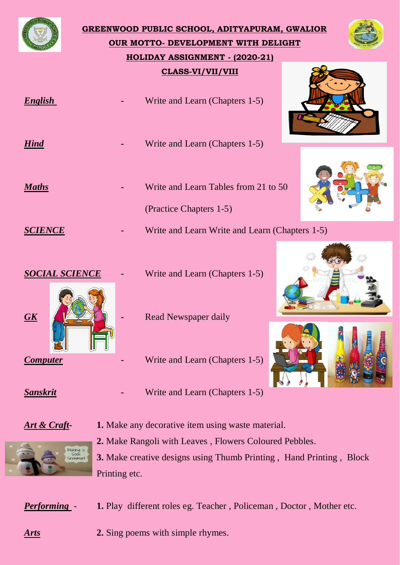

**GREENWOOD PUBLIC SCHOOL, ADITYAPURAM, GWALIOR OUR MOTTO- DEVELOPMENT WITH DELIGHT HOLIDAY ASSIGNMENT - (2020-21) CLASS-VI/VII/VIII**











*Hind* **-** Write and Learn (Chapters 1-5) *Maths* **-** Write and Learn Tables from 21 to 50 (Practice Chapters 1-5) **SCIENCE -** Write and Learn Write and Learn (Chapters 1-5)

*English* **-** Write and Learn (Chapters 1-5)



*SOCIAL SCIENCE* **-** Write and Learn (Chapters 1-5)

- 
- *Computer* **-** Write and Learn (Chapters 1-5)
- *Sanskrit* **-** Write and Learn (Chapters 1-5)

*Art & Craft-* **1.** Make any decorative item using waste material. **2.** Make Rangoli with Leaves , Flowers Coloured Pebbles.



**3.** Make creative designs using Thumb Printing , Hand Printing , Block Printing etc.

*Performing* - **1.** Play different roles eg. Teacher, Policeman, Doctor, Mother etc.

*Arts* **2.** Sing poems with simple rhymes.